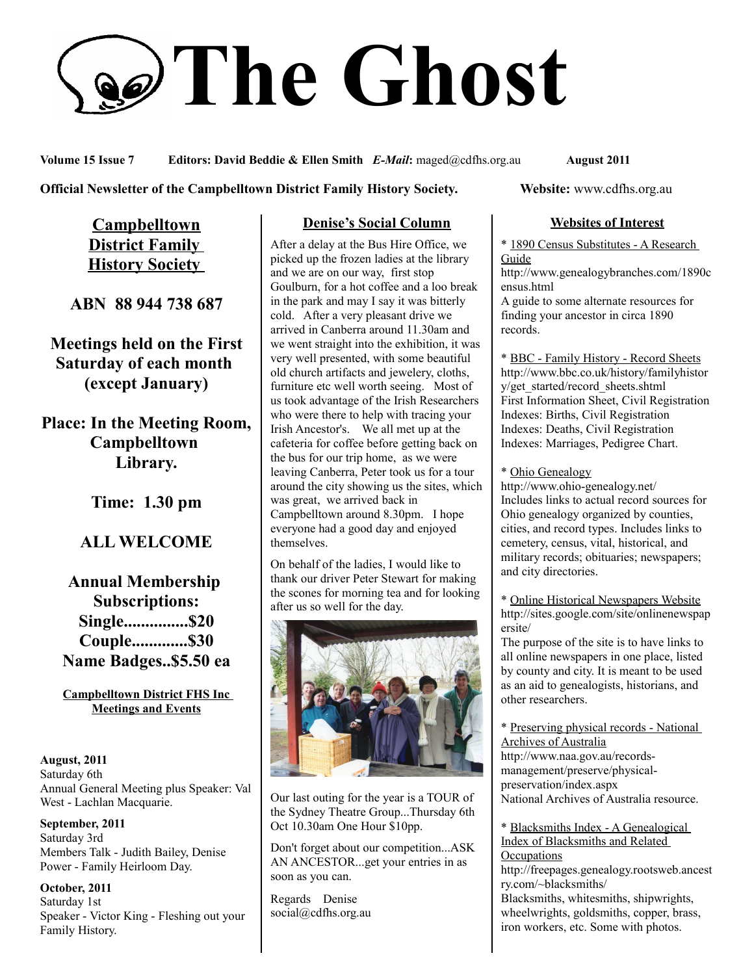# **The Ghost**

**Volume 15 Issue 7 Editors: David Beddie & Ellen Smith** *E-Mail***:** maged@cdfhs.org.au **August 2011**

#### **Official Newsletter of the Campbelltown District Family History Society. Website: www.cdfhs.org.au**

**Campbelltown District Family History Society** 

**ABN 88 944 738 687**

**Meetings held on the First Saturday of each month (except January)**

**Place: In the Meeting Room, Campbelltown Library.**

**Time: 1.30 pm**

## **ALL WELCOME**

**Annual Membership Subscriptions: Single...............\$20 Couple.............\$30 Name Badges..\$5.50 ea**

**Campbelltown District FHS Inc Meetings and Events**

**August, 2011** Saturday 6th Annual General Meeting plus Speaker: Val West - Lachlan Macquarie.

**September, 2011** Saturday 3rd Members Talk - Judith Bailey, Denise Power - Family Heirloom Day.

**October, 2011** Saturday 1st Speaker - Victor King - Fleshing out your Family History.

## **Denise's Social Column**

After a delay at the Bus Hire Office, we picked up the frozen ladies at the library and we are on our way, first stop Goulburn, for a hot coffee and a loo break in the park and may I say it was bitterly cold. After a very pleasant drive we arrived in Canberra around 11.30am and we went straight into the exhibition, it was very well presented, with some beautiful old church artifacts and jewelery, cloths, furniture etc well worth seeing. Most of us took advantage of the Irish Researchers who were there to help with tracing your Irish Ancestor's. We all met up at the cafeteria for coffee before getting back on the bus for our trip home, as we were leaving Canberra, Peter took us for a tour around the city showing us the sites, which was great, we arrived back in Campbelltown around 8.30pm. I hope everyone had a good day and enjoyed themselves.

On behalf of the ladies, I would like to thank our driver Peter Stewart for making the scones for morning tea and for looking after us so well for the day.



Our last outing for the year is a TOUR of the Sydney Theatre Group...Thursday 6th Oct 10.30am One Hour \$10pp.

Don't forget about our competition...ASK AN ANCESTOR...get your entries in as soon as you can.

Regards Denise social@cdfhs.org.au

## **Websites of Interest**

\* 1890 Census Substitutes - A Research **Guide** http://www.genealogybranches.com/1890c

ensus.html A guide to some alternate resources for finding your ancestor in circa 1890 records.

\* BBC - Family History - Record Sheets http://www.bbc.co.uk/history/familyhistor y/get\_started/record\_sheets.shtml First Information Sheet, Civil Registration Indexes: Births, Civil Registration Indexes: Deaths, Civil Registration Indexes: Marriages, Pedigree Chart.

\* Ohio Genealogy

http://www.ohio-genealogy.net/ Includes links to actual record sources for Ohio genealogy organized by counties, cities, and record types. Includes links to cemetery, census, vital, historical, and military records; obituaries; newspapers; and city directories.

\* Online Historical Newspapers Website http://sites.google.com/site/onlinenewspap ersite/

The purpose of the site is to have links to all online newspapers in one place, listed by county and city. It is meant to be used as an aid to genealogists, historians, and other researchers.

\* Preserving physical records - National Archives of Australia http://www.naa.gov.au/recordsmanagement/preserve/physicalpreservation/index.aspx National Archives of Australia resource.

\* Blacksmiths Index - A Genealogical Index of Blacksmiths and Related **Occupations** http://freepages.genealogy.rootsweb.ancest ry.com/~blacksmiths/ Blacksmiths, whitesmiths, shipwrights, wheelwrights, goldsmiths, copper, brass, iron workers, etc. Some with photos.